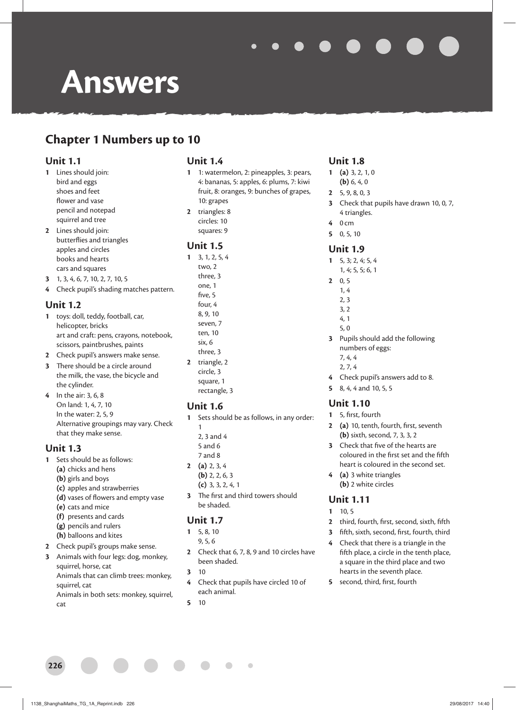# **Answers**

# **Chapter 1 Numbers up to 10**

#### **Unit 1.1**

- **1** Lines should join: bird and eggs shoes and feet flower and vase pencil and notepad squirrel and tree
- **2** Lines should join: butterflies and triangles apples and circles books and hearts cars and squares
- **3** 1, 3, 4, 6, 7, 10, 2, 7, 10, 5
- **4** Check pupil's shading matches pattern.

#### **Unit 1.2**

- **1** toys: doll, teddy, football, car, helicopter, bricks art and craft: pens, crayons, notebook, scissors, paintbrushes, paints
- **2** Check pupil's answers make sense.
- **3** There should be a circle around the milk, the vase, the bicycle and the cylinder.
- **4** In the air: 3, 6, 8 On land: 1, 4, 7, 10 In the water: 2, 5, 9 Alternative groupings may vary. Check that they make sense.

#### **Unit 1.3**

- **1** Sets should be as follows:
	- **(a)** chicks and hens
	- **(b)** girls and boys
	- **(c)** apples and strawberries
	- (d) vases of flowers and empty vase
	- **(e)** cats and mice
	- **(f)** presents and cards
	- **(g)** pencils and rulers
	- **(h)** balloons and kites
- **2** Check pupil's groups make sense.
- **3** Animals with four legs: dog, monkey, squirrel, horse, cat Animals that can climb trees: monkey,
	- squirrel, cat Animals in both sets: monkey, squirrel, cat

#### **Unit 1.4**

- **1** 1: watermelon, 2: pineapples, 3: pears, 4: bananas, 5: apples, 6: plums, 7: kiwi fruit, 8: oranges, 9: bunches of grapes, 10: grapes **2** triangles: 8
- circles: 10 squares: 9

#### **Unit 1.5**

**1** 3, 1, 2, 5, 4 two, 2 three, 3 one, 1 five, 5 four, 4 8, 9, 10 seven, 7 ten, 10 six, 6 three, 3 **2** triangle, 2 circle, 3 square, 1 rectangle, 3

#### **Unit 1.6**

- **1** Sets should be as follows, in any order:
	- 1 2, 3 and 4
	- 5 and 6 7 and 8
- **2 (a)** 2, 3, 4
- **(b)** 2, 2, 6, 3
- **(c)** 3, 3, 2, 4, 1
- **3** The first and third towers should be shaded.

#### **Unit 1.7**

- **1** 5, 8, 10
	- 9, 5, 6
- **2** Check that 6, 7, 8, 9 and 10 circles have been shaded.
- **3** 10
- **4** Check that pupils have circled 10 of each animal.

 $\overline{a}$ 

**5** 10

### **Unit 1.8**

- **1 (a)** 3, 2, 1, 0 **(b)** 6, 4, 0
- **2** 5, 9, 8, 0, 3
- **3** Check that pupils have drawn 10, 0, 7, 4 triangles.
- **4** 0 cm
- **5** 0, 5, 10

#### **Unit 1.9**

- **1** 5, 3; 2, 4; 5, 4
- 1, 4; 5, 5; 6, 1
- **2** 0, 5 1, 4
	- 2, 3
	- 3, 2
	- 4, 1
	- 5, 0
- **3** Pupils should add the following numbers of eggs:
	- 7, 4, 4 2, 7, 4
- **4** Check pupil's answers add to 8.
- **5** 8, 4, 4 and 10, 5, 5

#### **Unit 1.10**

- **1** 5, first, fourth
- 2 (a) 10, tenth, fourth, first, seventh **(b)** sixth, second, 7, 3, 3, 2
- **3** Check that five of the hearts are coloured in the first set and the fifth heart is coloured in the second set.
- **4 (a)** 3 white triangles **(b)** 2 white circles

#### **Unit 1.11**

- **1** 10, 5
- 2 third, fourth, first, second, sixth, fifth
- **3** fifth, sixth, second, first, fourth, third
- **4** Check that there is a triangle in the fifth place, a circle in the tenth place, a square in the third place and two hearts in the seventh place.
- **5** second, third, first, fourth

**226**

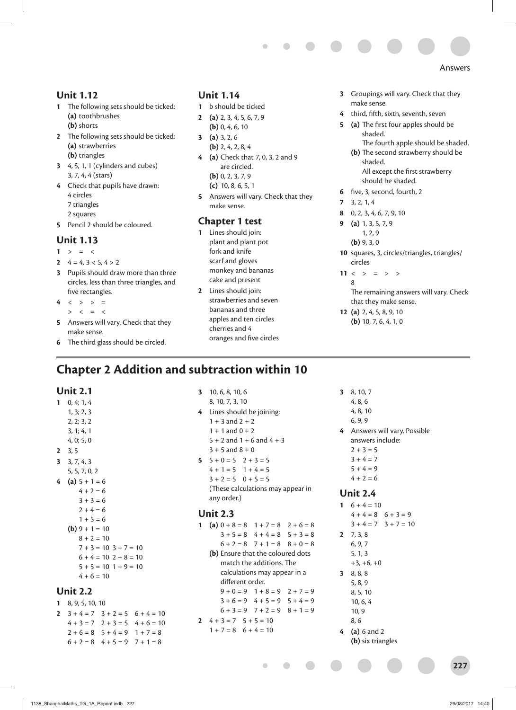#### **Unit 1.12**

- **1** The following sets should be ticked: **(a)** toothbrushes **(b)** shorts
- **2** The following sets should be ticked: **(a)** strawberries **(b)** triangles
- **3** 4, 5, 1, 1 (cylinders and cubes) 3, 7, 4, 4 (stars)
- **4** Check that pupils have drawn: 4 circles
	- 7 triangles
	- 2 squares
- **5** Pencil 2 should be coloured.

#### **Unit 1.13**

- 1  $> = <$
- **2**  $4 = 4, 3 < 5, 4 > 2$
- **3** Pupils should draw more than three circles, less than three triangles, and five rectangles.
- $4 \leq x > 12$
- $> < = <$
- **5** Answers will vary. Check that they make sense.
- **6** The third glass should be circled.

#### **Unit 1.14**

- **1** b should be ticked
- **2 (a)** 2, 3, 4, 5, 6, 7, 9 **(b)** 0, 4, 6, 10
- **3 (a)** 3, 2, 6 **(b)** 2, 4, 2, 8, 4
- **4 (a)** Check that 7, 0, 3, 2 and 9 are circled. **(b)** 0, 2, 3, 7, 9 **(c)** 10, 8, 6, 5, 1
- **5** Answers will vary. Check that they make sense.

#### **Chapter 1 test**

- **1** Lines should join: plant and plant pot fork and knife scarf and gloves monkey and bananas cake and present
- **2** Lines should join: strawberries and seven bananas and three apples and ten circles cherries and 4 oranges and five circles
- **3** Groupings will vary. Check that they make sense.
- 4 third, fifth, sixth, seventh, seven
- **5** (a) The first four apples should be shaded.
	- The fourth apple should be shaded. **(b)** The second strawberry should be shaded. All except the first strawberry
	- should be shaded.
- **6** five, 3, second, fourth, 2
- **7** 3, 2, 1, 4
- **8** 0, 2, 3, 4, 6, 7, 9, 10
- **9 (a)** 1, 3, 5, 7, 9 1, 2, 9
	- **(b)** 9, 3, 0
- **10** squares, 3, circles/triangles, triangles/ circles
- 11  $\langle \rangle$  =  $\rangle$  > 8

The remaining answers will vary. Check that they make sense.

**12 (a)** 2, 4, 5, 8, 9, 10 **(b)** 10, 7, 6, 4, 1, 0

# **Chapter 2 Addition and subtraction within 10**

#### **Unit 2.1**

**1** 0, 4; 1, 4 1, 3; 2, 3 2, 2; 3, 2 3, 1; 4, 1 4, 0; 5, 0 **2** 3, 5 **3** 3, 7, 4, 3 5, 5, 7, 0, 2 **4** (a)  $5 + 1 = 6$  $4 + 2 = 6$  $3 + 3 = 6$  $2 + 4 = 6$  $1 + 5 = 6$  $(b)$  9 + 1 = 10  $8 + 2 = 10$  $7 + 3 = 10$   $3 + 7 = 10$  $6 + 4 = 10$   $2 + 8 = 10$  $5 + 5 = 10$  1 + 9 = 10  $4 + 6 = 10$ 

#### **Unit 2.2**

- **1** 8, 9, 5, 10, 10
- **2**  $3 + 4 = 7$   $3 + 2 = 5$   $6 + 4 = 10$  $4 + 3 = 7$   $2 + 3 = 5$   $4 + 6 = 10$  $2 + 6 = 8$   $5 + 4 = 9$   $1 + 7 = 8$  $6 + 2 = 8$  4 + 5 = 9 7 + 1 = 8

 $1 + 3$  and  $2 + 2$  $1 + 1$  and  $0 + 2$  $5 + 2$  and  $1 + 6$  and  $4 + 3$  $3 + 5$  and  $8 + 0$  $5 + 0 = 5$   $2 + 3 = 5$  $4 + 1 = 5$  1 + 4 = 5

**3** 10, 6, 8, 10, 6 8, 10, 7, 3, 10 **4** Lines should be joining:

 $3 + 2 = 5$  0 + 5 = 5 (These calculations may appear in any order.)

#### **Unit 2.3**

- **1** (a)  $0 + 8 = 8$  1 + 7 = 8 2 + 6 = 8  $3 + 5 = 8$  4 + 4 = 8 5 + 3 = 8  $6 + 2 = 8$   $7 + 1 = 8$   $8 + 0 = 8$ 
	- **(b)** Ensure that the coloured dots match the additions. The calculations may appear in a different order.

```
9 + 0 = 9 1 + 8 = 9 2 + 7 = 9
3 + 6 = 9 4 + 5 = 9 5 + 4 = 9
```

```
6 + 3 = 9 7 + 2 = 9 8 + 1 = 9
```

$$
4 + 3 = 7 \quad 5 + 5 = 10
$$

 $1 + 7 = 8$  6 + 4 = 10

- **3** 8, 10, 7
	- 4, 8, 6
	- 4, 8, 10
	- 6, 9, 9

**4** Answers will vary. Possible answers include:

- $2 + 3 = 5$
- $3 + 4 = 7$
- $5 + 4 = 9$  $4 + 2 = 6$

#### **Unit 2.4**

- **1**  $6 + 4 = 10$  $4 + 4 = 8$  6 + 3 = 9  $3 + 4 = 7$   $3 + 7 = 10$ **2** 7, 3, 8
	- 6, 9, 7
	- 5, 1, 3  $+3, +6, +0$
- **3** 8, 8, 8
- 5, 8, 9
	- 8, 5, 10 10, 6, 4
	- 10, 9
	- 8, 6
- **4 (a)** 6 and 2 **(b)** six triangles

**227**

Answers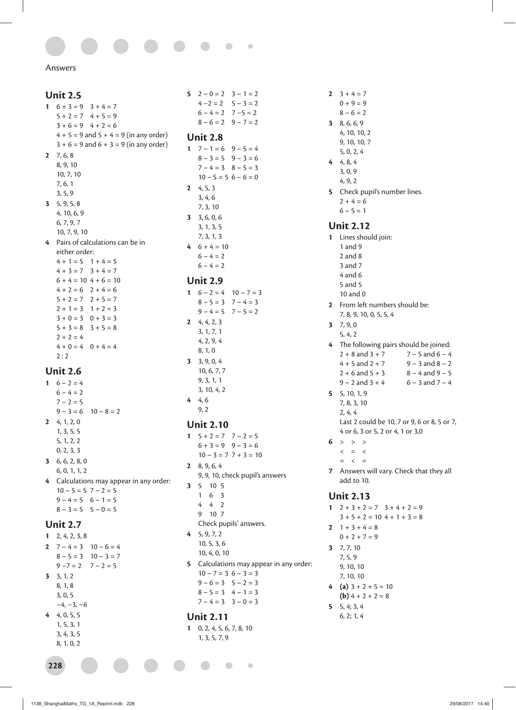$\bullet$  $\overline{a}$ 

Answers

#### **Unit 2.5** 1  $6 + 3 = 9$   $3 + 4 = 7$  $5 + 2 = 7$  4 + 5 = 9  $3 + 6 = 9$  4 + 2 = 6  $4 + 5 = 9$  and  $5 + 4 = 9$  (in any order)  $3 + 6 = 9$  and  $6 + 3 = 9$  (in any order) **2** 7, 6, 8 8, 9, 10 10, 7, 10 7, 6, 1 3, 5, 9 **3** 5, 9, 5, 8 4, 10, 6, 9 6, 7, 9, 7 10, 7, 9, 10 **4** Pairs of calculations can be in either order:  $4 + 1 = 5$  1 + 4 = 5  $4 + 3 = 7$   $3 + 4 = 7$  $6 + 4 = 10$   $4 + 6 = 10$  $4 + 2 = 6$   $2 + 4 = 6$  $5 + 2 = 7$  2 + 5 = 7  $2 + 1 = 3$  1 + 2 = 3  $3 + 0 = 3$   $0 + 3 = 3$  $5 + 3 = 8$  3 + 5 = 8  $2 + 2 = 4$  $4 + 0 = 4$  0 + 4 = 4  $2:2$ **Unit 2.6**

- 1  $6 2 = 4$  $6 - 4 = 2$  $7 - 2 = 5$  $9 - 3 = 6$  10  $- 8 = 2$ **2** 4, 1, 2, 0 1, 3, 5, 5 5, 1, 2, 2 0, 2, 3, 3 **3** 6, 6, 2, 8, 0 6, 0, 1, 1, 2 **4** Calculations may appear in any order:
	- $10 5 = 5$   $7 2 = 5$  $9 - 4 = 5$  6 – 1 = 5  $8 - 3 = 5$   $5 - 0 = 5$

#### **Unit 2.7**

- **1** 2, 4, 2, 3, 8 **2**  $7 - 4 = 3$   $10 - 6 = 4$  $8 - 5 = 3$   $10 - 3 = 7$  $9 - 7 = 2$  7 – 2 = 5 **3** 3, 1, 2 8, 1, 8 3, 0, 5 −4, −3, −6 **4** 4, 0, 5, 5
	- 1, 5, 3, 1 3, 4, 3, 5
	- 8, 1, 0, 2

**228**

- **5** 2 0 = 2 3 1 = 2  $4 - 2 = 2$  5 – 3 = 2  $6 - 4 = 2$  7  $-5 = 2$  $8 - 6 = 2$  9 – 7 = 2 **Unit 2.8 1**  $7 - 1 = 6$   $9 - 5 = 4$  $8 - 3 = 5$  9 – 3 = 6  $7 - 4 = 3$   $8 - 5 = 3$  $10 - 5 = 5$  6 – 6 = 0 **2** 4, 5, 3 3, 4, 6 7, 3, 10 **3** 3, 6, 0, 6 3, 1, 3, 5 7, 3, 1, 3 **4** 6 + 4 = 10  $6 - 4 = 2$  $6 - 4 = 2$ **Unit 2.9 1**  $6 - 2 = 4$   $10 - 7 = 3$  $8 - 5 = 3$  7 – 4 = 3  $9 - 4 = 5$   $7 - 5 = 2$ **2** 4, 4, 2, 3 3, 1, 7, 1 4, 2, 9, 4 8, 1, 0
- **3** 3, 9, 0, 4 10, 6, 7, 7 9, 3, 1, 1 3, 10, 4, 2 **4** 4, 6 9, 2

#### **Unit 2.10**

1  $5 + 2 = 7$   $7 - 2 = 5$  $6 + 3 = 9$   $9 - 3 = 6$  $10 - 3 = 7$  7 + 3 = 10 **2** 8, 9, 6, 4 9, 9, 10, check pupil's answers **3** 5 10 5 1 6 3 4 4 2 9 10 7 Check pupils' answers. **4** 5, 9, 7, 2 10, 5, 3, 6 10, 4, 0, 10 **5** Calculations may appear in any order:  $10 - 7 = 3$   $6 - 3 = 3$  $9 - 6 = 3$   $5 - 2 = 3$  $8 - 5 = 3$  4 – 1 = 3  $7 - 4 = 3$   $3 - 0 = 3$ **Unit 2.11**

**1** 0, 2, 4, 5, 6, 7, 8, 10 1, 3, 5, 7, 9

 $\bullet$ 

 $\bullet$ 

- 2  $3 + 4 = 7$  $0 + 9 = 9$  $8 - 6 = 2$ **3** 8, 6, 6, 9 4, 10, 10, 2 9, 10, 10, 7 5, 0, 2, 4 **4** 4, 8, 4 3, 0, 9 4, 9, 2 **5** Check pupil's number lines.  $2 + 4 = 6$  $6 - 5 = 1$ **Unit 2.12 1** Lines should join: 1 and 9 2 and 8 3 and 7 4 and 6 5 and 5 10 and 0 **2** From left numbers should be: 7, 8, 9, 10, 0, 5, 5, 4 **3** 7, 9, 0 5, 4, 2 4 The following pairs should be joined:  $2 + 8$  and  $3 + 7$  7 – 5 and 6 – 4  $4 + 5$  and  $2 + 7$  9 – 3 and  $8 - 2$  $2 + 6$  and  $5 + 3$   $8 - 4$  and  $9 - 5$  $9 - 2$  and  $3 + 4$  6 – 3 and  $7 - 4$ **5** 5, 10, 1, 9 7, 8, 3, 10 2, 4, 4 Last 2 could be 10, 7 or 9, 6 or 8, 5 or 7, 4 or 6, 3 or 5, 2 or 4, 1 or 3,0 6  $>$  > > >  $\langle$  =  $\langle$  $=$   $<$   $=$ **7** Answers will vary. Check that they all add to 10. **Unit 2.13** 1  $2 + 3 + 2 = 7$   $3 + 4 + 2 = 9$  $3 + 5 + 2 = 10 + 1 + 3 = 8$ **2**  $1 + 3 + 4 = 8$  $0 + 2 + 7 = 9$
- **3** 7, 7, 10 7, 5, 9 9, 10, 10 7, 10, 10
- **4** (a)  $3 + 2 + 5 = 10$ **(b)**  $4 + 2 + 2 = 8$
- **5** 5, 4; 3, 4 6, 2; 1, 4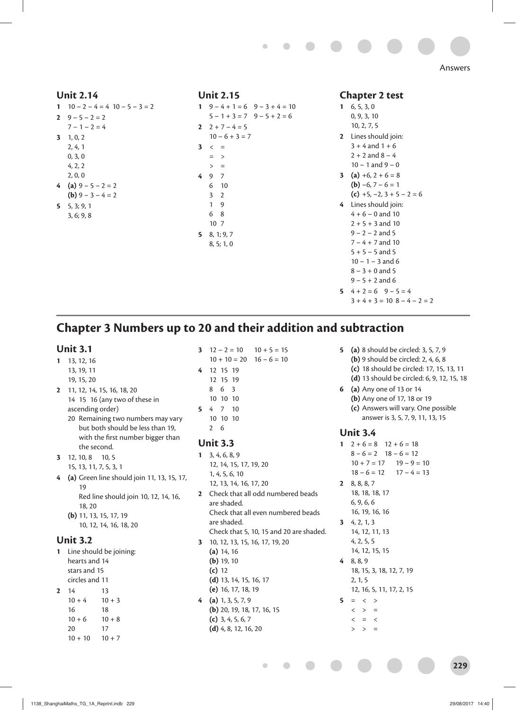

#### **Unit 2.14**

**1**  $10 - 2 - 4 = 4$   $10 - 5 - 3 = 2$ 2  $9 - 5 - 2 = 2$  $7 - 1 - 2 = 4$ **3** 1, 0, 2 2, 4, 1 0, 3, 0 4, 2, 2 2, 0, 0 **4** (a)  $9 - 5 - 2 = 2$ **(b)**  $9 - 3 - 4 = 2$ **5** 5, 3; 9, 1 3, 6; 9, 8

#### **Unit 2.15**

1  $9 - 4 + 1 = 6$   $9 - 3 + 4 = 10$  $5 - 1 + 3 = 7$   $9 - 5 + 2 = 6$ 2  $2 + 7 - 4 = 5$  $10 - 6 + 3 = 7$  $3 \leq x =$  $=$  >  $> 2$ **4** 9 7 6 10 3 2 1 9 6 8 10 7 **5** 8, 1; 9, 7 8, 5; 1, 0

#### **Chapter 2 test**

- **1** 6, 5, 3, 0 0, 9, 3, 10 10, 2, 7, 5
- **2** Lines should join:  $3 + 4$  and  $1 + 6$  $2 + 2$  and  $8 - 4$
- $10 1$  and  $9 0$
- **3** (a)  $+6$ ,  $2 + 6 = 8$ **(b)**  $-6$ ,  $7 - 6 = 1$ 
	- **(c)** +5, –2, 3 + 5 2 = 6
- **4** Lines should join:  $4 + 6 - 0$  and 10  $2 + 5 + 3$  and 10  $9 - 2 - 2$  and 5  $7 - 4 + 7$  and 10  $5 + 5 - 5$  and 5  $10 - 1 - 3$  and 6  $8 - 3 + 0$  and 5
	- $9 5 + 2$  and 6
- **5**  $4 + 2 = 6$   $9 5 = 4$ 
	- $3 + 4 + 3 = 10$   $8 4 2 = 2$

## **Chapter 3 Numbers up to 20 and their addition and subtraction**

#### **Unit 3.1**

- **1** 13, 12, 16
	- 13, 19, 11
	- 19, 15, 20
- **2** 11, 12, 14, 15, 16, 18, 20 14 15 16 (any two of these in ascending order)
	- 20 Remaining two numbers may vary but both should be less than 19, with the first number bigger than the second.
- **3** 12, 10, 8 10, 5 15, 13, 11, 7, 5, 3, 1
- **4 (a)** Green line should join 11, 13, 15, 17, 19 Red line should join 10, 12, 14, 16, 18, 20
	- **(b)** 11, 13, 15, 17, 19 10, 12, 14, 16, 18, 20

#### **Unit 3.2**

**1** Line should be joining: hearts and 14 stars and 15 circles and 11 **2** 14 13

```
10 + 4 10 + 3
16 18
10 + 6 10 + 820 17
10 + 10 10 + 7
```
#### **3**  $12 - 2 = 10$   $10 + 5 = 15$  $10 + 10 = 20$   $16 - 6 = 10$

- 
- **4** 12 15 19
	- 12 15 19
	- 8 6 3 10 10 10
- **5** 4 7 10
- 10 10 10 2 6

#### **Unit 3.3**

- **1** 3, 4, 6, 8, 9 12, 14, 15, 17, 19, 20 1, 4, 5, 6, 10 12, 13, 14, 16, 17, 20 **2** Check that all odd numbered beads are shaded. Check that all even numbered beads are shaded. Check that 5, 10, 15 and 20 are shaded. **3** 10, 12, 13, 15, 16, 17, 19, 20 **(a)** 14, 16 **(b)** 19, 10
- **(c)** 12 **(d)** 13, 14, 15, 16, 17 **(e)** 16, 17, 18, 19
- **4 (a)** 1, 3, 5, 7, 9 **(b)** 20, 19, 18, 17, 16, 15 **(c)** 3, 4, 5, 6, 7 **(d)** 4, 8, 12, 16, 20
- **5 (a)** 8 should be circled: 3, 5, 7, 9 **(b)** 9 should be circled: 2, 4, 6, 8 **(c)** 18 should be circled: 17, 15, 13, 11 **(d)** 13 should be circled: 6, 9, 12, 15, 18
- **6 (a)** Any one of 13 or 14 **(b)** Any one of 17, 18 or 19 **(c)** Answers will vary. One possible answer is 3, 5, 7, 9, 11, 13, 15

#### **Unit 3.4**

- 1  $2 + 6 = 8$  12 + 6 = 18  $8 - 6 = 2$  18 – 6 = 12  $10 + 7 = 17$   $19 - 9 = 10$
- $18 6 = 12$   $17 4 = 13$ **2** 8, 8, 8, 7
- 18, 18, 18, 17 6, 9, 6, 6 16, 19, 16, 16
- **3** 4, 2, 1, 3 14, 12, 11, 13 4, 2, 5, 5
- 14, 12, 15, 15 **4** 8, 8, 9
- 18, 15, 3, 18, 12, 7, 19 2, 1, 5 12, 16, 5, 11, 17, 2, 15
- $5 = \langle \rangle$  $\langle \rangle$  > =
	- $\langle$  =  $\langle$
	- $>$   $=$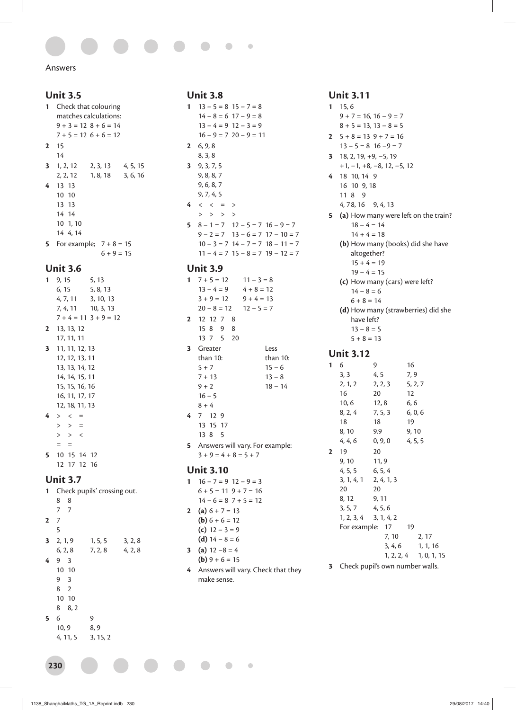#### Answers

#### **Unit 3.5**

```
1 Check that colouring 
   matches calculations:
   9 + 3 = 12 8 + 6 = 147 + 5 = 12 6 + 6 = 12
2 15
    14
3 1, 2, 12 2, 3, 13 4, 5, 15<br>2, 2, 12 1, 8, 18 3, 6, 16
                           3, 6, 16
4 13 13
   10 10
   13 13
    14 14
    10 1, 10
    14 4, 14
5 For example; 7 + 8 = 156 + 9 = 15
```
#### **Unit 3.6**

```
1 9, 15 5, 13
   6, 15 5, 8, 13
   4, 7, 11 3, 10, 13
   7, 4, 11 10, 3, 13
   7 + 4 = 11 3 + 9 = 122 13, 13, 12
   17, 11, 11
3 11, 11, 12, 13
   12, 12, 13, 11
   13, 13, 14, 12
   14, 14, 15, 11
   15, 15, 16, 16
   16, 11, 17, 17
   12, 18, 11, 13
4 > < => > =
   > > <
      =5 10 15 14 12
   12 17 12 16
Unit 3.7
```
#### **1** Check pupils' crossing out. 8 8 7 7 **2** 7 5 **3** 2, 1, 9 1, 5, 5 3, 2, 8  $6, 2, 8$  7, 2, 8 4, 2, 8 **4** 9 3 10 10 9 3 8 2 10 10 8 8, 2 **5** 6 9 10, 9 8, 9 4, 11, 5 3, 15, 2

**230**

#### **Unit 3.8 1**  $13 - 5 = 8$   $15 - 7 = 8$  $14 - 8 = 6$  17 – 9 = 8  $13 - 4 = 9$   $12 - 3 = 9$  $16 - 9 = 7 20 - 9 = 11$ **2** 6, 9, 8 8, 3, 8 **3** 9, 3, 7, 5 9, 8, 8, 7 9, 6, 8, 7 9, 7, 4, 5  $4 \leq \leq \ = \ >$  $>$  > > > **5**  $8 - 1 = 7$   $12 - 5 = 7$   $16 - 9 = 7$  $9 - 2 = 7$   $13 - 6 = 7$   $17 - 10 = 7$  $10 - 3 = 7$   $14 - 7 = 7$   $18 - 11 = 7$  $11 - 4 = 7$   $15 - 8 = 7$   $19 - 12 = 7$

#### **Unit 3.9**

|           | $1 \quad 7 + 5 = 12 \quad 11 - 3 = 8$ |                                   |
|-----------|---------------------------------------|-----------------------------------|
|           | $13 - 4 = 9$ $4 + 8 = 12$             |                                   |
|           | $3 + 9 = 12$ $9 + 4 = 13$             |                                   |
|           | $20 - 8 = 12$ $12 - 5 = 7$            |                                   |
|           | 2 12 12 7 8                           |                                   |
|           | 15 8 9 8                              |                                   |
|           | 13 7 5 20                             |                                   |
|           | 3 Greater                             | Less                              |
|           | than $10$ :                           | than 10:                          |
|           | $5 + 7$                               | $15 - 6$                          |
|           | $7 + 13$                              | $13 - 8$                          |
|           | $9 + 2$                               | $18 - 14$                         |
|           | $16 - 5$                              |                                   |
|           | $8 + 4$                               |                                   |
|           | 4 7 12 9                              |                                   |
|           | 13 15 17                              |                                   |
|           | 13 8 5                                |                                   |
|           |                                       | 5 Answers will vary. For example: |
|           | $3 + 9 = 4 + 8 = 5 + 7$               |                                   |
| Unit 3.10 |                                       |                                   |

# 1  $16 - 7 = 9$   $12 - 9 = 3$

 $6 + 5 = 11$   $9 + 7 = 16$  $14 - 6 = 8$  7 + 5 = 12 **2** (a)  $6 + 7 = 13$ **(b)**  $6 + 6 = 12$ **(c)** 12 – 3 = 9 **(d)**  $14 - 8 = 6$ 

 $\bullet$ 

 $\bullet$ 

- **3** (a)  $12 8 = 4$
- **(b)**  $9 + 6 = 15$
- **4** Answers will vary. Check that they make sense.

#### **Unit 3.11**

```
1 15, 6
   9 + 7 = 16, 16 - 9 = 78 + 5 = 13, 13 - 8 = 52 5 + 8 = 13 9 + 7 = 16
   13 – 5 = 8 16 −9 = 7
3 18, 2, 19, +9, −5, 19
   +1, −1, +8, −8, 12, −5, 12
4 18 10, 14 9
   16 10 9, 18
   11 8 9
   4, 7 8, 16 9, 4, 13
5 (a) How many were left on the train?
      18 - 4 = 1414 + 4 = 18(b) How many (books) did she have 
      altogether? 
      15 + 4 = 1919 - 4 = 15(c) How many (cars) were left? 
      14 - 8 = 66 + 8 = 14(d) How many (strawberries) did she 
      have left? 
      13 - 8 = 55 + 8 = 13Unit 3.12
1 6 9 16<br>3.3 4.5 7.9
   3, 32, 1, 2 2, 2, 3 5, 2, 7
   16 20 12
   10, 6 12, 8 6, 6
   8, 2, 4 7, 5, 3 6, 0, 6
   18 18 19
   8, 10 9.9 9, 10
   4, 4, 6 0, 9, 0 4, 5, 5
2 19 20 
   9, 10 11, 9
   4, 5, 5 6, 5, 4
   3, 1, 4, 1 2, 4, 1, 3
   20 20
   8, 12 9, 11
   3, 5, 7 4, 5, 6
   1, 2, 3, 4 3, 1, 4, 2
   For example: 17 19
                 7, 10 2, 17
                 3, 4, 6 1, 1, 16
                1, 2, 2, 4 1, 0, 1, 15
```
**3** Check pupil's own number walls.